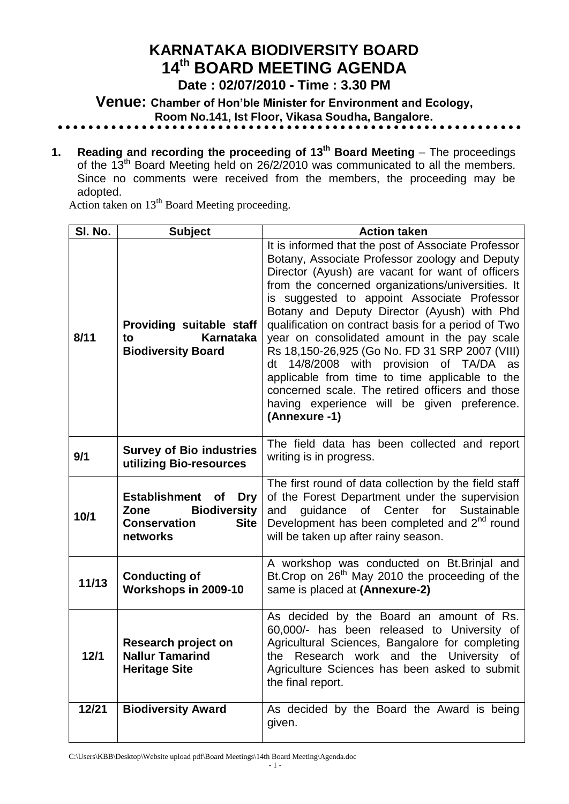# **KARNATAKA BIODIVERSITY BOARD 14 th BOARD MEETING AGENDA**

**Date : 02/07/2010 - Time : 3.30 PM**

**Venue: Chamber of Hon'ble Minister for Environment and Ecology, Room No.141, Ist Floor, Vikasa Soudha, Bangalore.**

**1. Reading and recording the proceeding of 13<sup>th</sup> Board Meeting** – The proceedings of the  $13<sup>th</sup>$  Board Meeting held on 26/2/2010 was communicated to all the members. Since no comments were received from the members, the proceeding may be adopted.

Action taken on 13<sup>th</sup> Board Meeting proceeding.

| SI. No. | <b>Subject</b>                                                                                                                   | <b>Action taken</b>                                                                                                                                                                                                                                                                                                                                                                                                                                                                                                                                                                                                                                                                      |  |  |  |
|---------|----------------------------------------------------------------------------------------------------------------------------------|------------------------------------------------------------------------------------------------------------------------------------------------------------------------------------------------------------------------------------------------------------------------------------------------------------------------------------------------------------------------------------------------------------------------------------------------------------------------------------------------------------------------------------------------------------------------------------------------------------------------------------------------------------------------------------------|--|--|--|
| 8/11    | Providing suitable staff<br><b>Karnataka</b><br>to<br><b>Biodiversity Board</b>                                                  | It is informed that the post of Associate Professor<br>Botany, Associate Professor zoology and Deputy<br>Director (Ayush) are vacant for want of officers<br>from the concerned organizations/universities. It<br>is suggested to appoint Associate Professor<br>Botany and Deputy Director (Ayush) with Phd<br>qualification on contract basis for a period of Two<br>year on consolidated amount in the pay scale<br>Rs 18,150-26,925 (Go No. FD 31 SRP 2007 (VIII)<br>14/8/2008 with provision of TA/DA as<br>dt<br>applicable from time to time applicable to the<br>concerned scale. The retired officers and those<br>having experience will be given preference.<br>(Annexure -1) |  |  |  |
| 9/1     | <b>Survey of Bio industries</b><br>utilizing Bio-resources                                                                       | The field data has been collected and report<br>writing is in progress.                                                                                                                                                                                                                                                                                                                                                                                                                                                                                                                                                                                                                  |  |  |  |
| 10/1    | <b>Establishment</b><br><b>Dry</b><br><b>of</b><br><b>Biodiversity</b><br>Zone<br><b>Conservation</b><br><b>Site</b><br>networks | The first round of data collection by the field staff<br>of the Forest Department under the supervision<br>of Center for Sustainable<br>quidance<br>and<br>Development has been completed and 2 <sup>nd</sup> round<br>will be taken up after rainy season.                                                                                                                                                                                                                                                                                                                                                                                                                              |  |  |  |
| 11/13   | <b>Conducting of</b><br>Workshops in 2009-10                                                                                     | A workshop was conducted on Bt. Brinjal and<br>Bt. Crop on 26 <sup>th</sup> May 2010 the proceeding of the<br>same is placed at (Annexure-2)                                                                                                                                                                                                                                                                                                                                                                                                                                                                                                                                             |  |  |  |
| 12/1    | Research project on<br><b>Nallur Tamarind</b><br><b>Heritage Site</b>                                                            | As decided by the Board an amount of Rs.<br>60,000/- has been released to University of<br>Agricultural Sciences, Bangalore for completing<br>Research work and the University of<br>the<br>Agriculture Sciences has been asked to submit<br>the final report.                                                                                                                                                                                                                                                                                                                                                                                                                           |  |  |  |
| 12/21   | <b>Biodiversity Award</b>                                                                                                        | As decided by the Board the Award is being<br>given.                                                                                                                                                                                                                                                                                                                                                                                                                                                                                                                                                                                                                                     |  |  |  |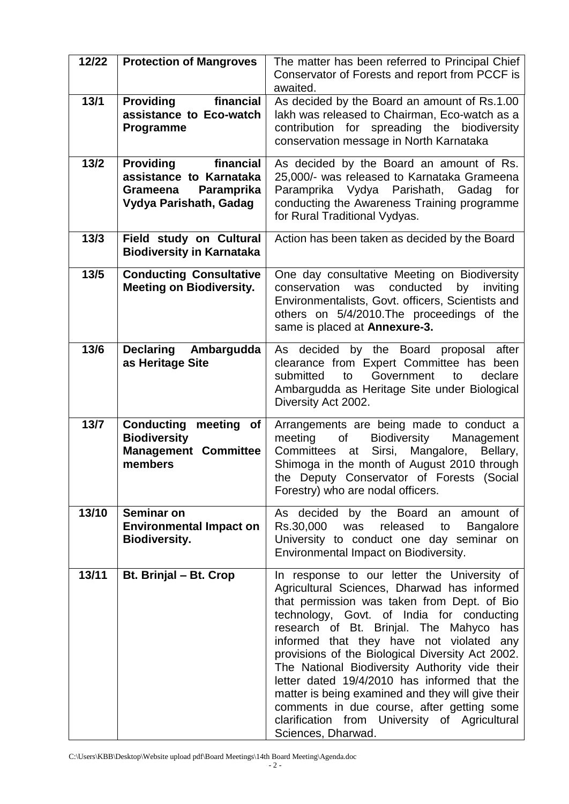| 12/22  | <b>Protection of Mangroves</b>                                                                               | The matter has been referred to Principal Chief<br>Conservator of Forests and report from PCCF is                                                                                                                                                                                                                                                                                                                                                                                                                                                                                                             |  |  |  |
|--------|--------------------------------------------------------------------------------------------------------------|---------------------------------------------------------------------------------------------------------------------------------------------------------------------------------------------------------------------------------------------------------------------------------------------------------------------------------------------------------------------------------------------------------------------------------------------------------------------------------------------------------------------------------------------------------------------------------------------------------------|--|--|--|
| 13/1   | financial<br><b>Providing</b><br>assistance to Eco-watch<br>Programme                                        | awaited.<br>As decided by the Board an amount of Rs.1.00<br>lakh was released to Chairman, Eco-watch as a<br>contribution for spreading the biodiversity<br>conservation message in North Karnataka                                                                                                                                                                                                                                                                                                                                                                                                           |  |  |  |
| $13/2$ | financial<br><b>Providing</b><br>assistance to Karnataka<br>Paramprika<br>Grameena<br>Vydya Parishath, Gadag | As decided by the Board an amount of Rs.<br>25,000/- was released to Karnataka Grameena<br>Paramprika Vydya<br>Parishath,<br>for<br>Gadag<br>conducting the Awareness Training programme<br>for Rural Traditional Vydyas.                                                                                                                                                                                                                                                                                                                                                                                     |  |  |  |
| $13/3$ | Field study on Cultural<br><b>Biodiversity in Karnataka</b>                                                  | Action has been taken as decided by the Board                                                                                                                                                                                                                                                                                                                                                                                                                                                                                                                                                                 |  |  |  |
| $13/5$ | <b>Conducting Consultative</b><br><b>Meeting on Biodiversity.</b>                                            | One day consultative Meeting on Biodiversity<br>conservation<br>was<br>conducted<br>by<br>inviting<br>Environmentalists, Govt. officers, Scientists and<br>others on 5/4/2010. The proceedings of the<br>same is placed at Annexure-3.                                                                                                                                                                                                                                                                                                                                                                        |  |  |  |
| 13/6   | Declaring Ambargudda<br>as Heritage Site                                                                     | As decided by the Board proposal after<br>clearance from Expert Committee has been<br>submitted<br>to Government<br>to<br>declare<br>Ambargudda as Heritage Site under Biological<br>Diversity Act 2002.                                                                                                                                                                                                                                                                                                                                                                                                      |  |  |  |
| $13/7$ | <b>Conducting</b><br>meeting of<br><b>Biodiversity</b><br><b>Management Committee</b><br>members             | Arrangements are being made to conduct a<br><b>Biodiversity</b><br>meeting<br>of<br>Management<br>Sirsi, Mangalore, Bellary,<br>Committees<br>at<br>Shimoga in the month of August 2010 through<br>the Deputy Conservator of Forests (Social<br>Forestry) who are nodal officers.                                                                                                                                                                                                                                                                                                                             |  |  |  |
| 13/10  | Seminar on<br><b>Environmental Impact on</b><br><b>Biodiversity.</b>                                         | As decided by the Board an amount of<br>Rs.30,000<br>was<br>released<br>to<br><b>Bangalore</b><br>University to conduct one day seminar on<br>Environmental Impact on Biodiversity.                                                                                                                                                                                                                                                                                                                                                                                                                           |  |  |  |
| 13/11  | Bt. Brinjal - Bt. Crop                                                                                       | In response to our letter the University of<br>Agricultural Sciences, Dharwad has informed<br>that permission was taken from Dept. of Bio<br>technology, Govt. of India for conducting<br>research of Bt. Brinjal. The Mahyco has<br>informed that they have not violated any<br>provisions of the Biological Diversity Act 2002.<br>The National Biodiversity Authority vide their<br>letter dated 19/4/2010 has informed that the<br>matter is being examined and they will give their<br>comments in due course, after getting some<br>clarification from University of Agricultural<br>Sciences, Dharwad. |  |  |  |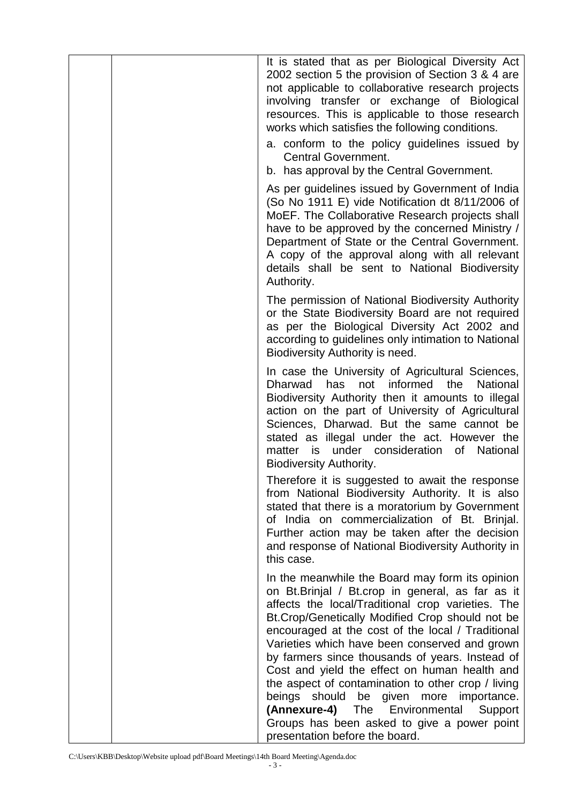| It is stated that as per Biological Diversity Act<br>2002 section 5 the provision of Section 3 & 4 are<br>not applicable to collaborative research projects<br>involving transfer or exchange of Biological<br>resources. This is applicable to those research<br>works which satisfies the following conditions.<br>a. conform to the policy guidelines issued by<br><b>Central Government.</b><br>b. has approval by the Central Government.                                                                                                                                                                                                             |
|------------------------------------------------------------------------------------------------------------------------------------------------------------------------------------------------------------------------------------------------------------------------------------------------------------------------------------------------------------------------------------------------------------------------------------------------------------------------------------------------------------------------------------------------------------------------------------------------------------------------------------------------------------|
| As per guidelines issued by Government of India<br>(So No 1911 E) vide Notification dt 8/11/2006 of<br>MoEF. The Collaborative Research projects shall<br>have to be approved by the concerned Ministry /<br>Department of State or the Central Government.<br>A copy of the approval along with all relevant<br>details shall be sent to National Biodiversity<br>Authority.                                                                                                                                                                                                                                                                              |
| The permission of National Biodiversity Authority<br>or the State Biodiversity Board are not required<br>as per the Biological Diversity Act 2002 and<br>according to guidelines only intimation to National<br>Biodiversity Authority is need.                                                                                                                                                                                                                                                                                                                                                                                                            |
| In case the University of Agricultural Sciences,<br>informed<br><b>Dharwad</b><br>has<br>not<br>the<br>National<br>Biodiversity Authority then it amounts to illegal<br>action on the part of University of Agricultural<br>Sciences, Dharwad. But the same cannot be<br>stated as illegal under the act. However the<br>matter is under consideration of National<br><b>Biodiversity Authority.</b>                                                                                                                                                                                                                                                       |
| Therefore it is suggested to await the response<br>from National Biodiversity Authority. It is also<br>stated that there is a moratorium by Government<br>of India on commercialization of Bt. Brinjal.<br>Further action may be taken after the decision<br>and response of National Biodiversity Authority in<br>this case.                                                                                                                                                                                                                                                                                                                              |
| In the meanwhile the Board may form its opinion<br>on Bt.Brinjal / Bt.crop in general, as far as it<br>affects the local/Traditional crop varieties. The<br>Bt.Crop/Genetically Modified Crop should not be<br>encouraged at the cost of the local / Traditional<br>Varieties which have been conserved and grown<br>by farmers since thousands of years. Instead of<br>Cost and yield the effect on human health and<br>the aspect of contamination to other crop / living<br>beings should be given more importance.<br>(Annexure-4)<br>The<br>Environmental<br>Support<br>Groups has been asked to give a power point<br>presentation before the board. |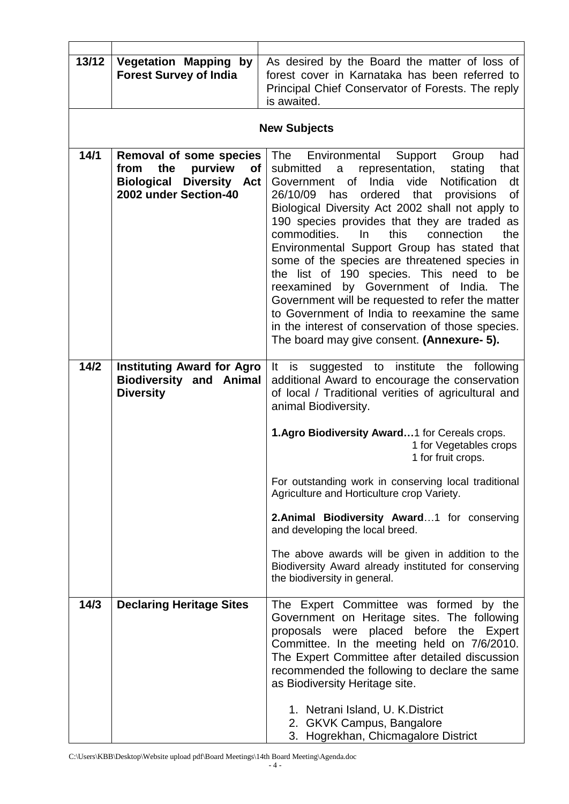| 13/12 | <b>Vegetation Mapping by</b><br><b>Forest Survey of India</b>                                                                           | As desired by the Board the matter of loss of<br>forest cover in Karnataka has been referred to<br>Principal Chief Conservator of Forests. The reply<br>is awaited.                                                                                                                                                                                                                                                                                                                                                                                                                                                                                                                                                                                                                                   |
|-------|-----------------------------------------------------------------------------------------------------------------------------------------|-------------------------------------------------------------------------------------------------------------------------------------------------------------------------------------------------------------------------------------------------------------------------------------------------------------------------------------------------------------------------------------------------------------------------------------------------------------------------------------------------------------------------------------------------------------------------------------------------------------------------------------------------------------------------------------------------------------------------------------------------------------------------------------------------------|
|       |                                                                                                                                         | <b>New Subjects</b>                                                                                                                                                                                                                                                                                                                                                                                                                                                                                                                                                                                                                                                                                                                                                                                   |
| 14/1  | Removal of some species<br>purview<br>the<br><b>of</b><br>from<br><b>Biological</b><br><b>Diversity</b><br>Act<br>2002 under Section-40 | The<br>Environmental<br>Support<br>Group<br>had<br>that<br>submitted<br>representation,<br>stating<br>a<br>India<br>of<br><b>Notification</b><br>vide<br>dt<br>Government<br>26/10/09<br>ordered<br>that<br><b>of</b><br>provisions<br>has<br>Biological Diversity Act 2002 shall not apply to<br>190 species provides that they are traded as<br>this<br>commodities.<br>In.<br>connection<br>the<br>Environmental Support Group has stated that<br>some of the species are threatened species in<br>the list of 190 species. This need to<br>be<br>reexamined by Government of India.<br>The<br>Government will be requested to refer the matter<br>to Government of India to reexamine the same<br>in the interest of conservation of those species.<br>The board may give consent. (Annexure- 5). |
| 14/2  | <b>Instituting Award for Agro</b><br><b>Biodiversity and Animal</b><br><b>Diversity</b>                                                 | It<br>suggested to institute<br>is<br>the following<br>additional Award to encourage the conservation<br>of local / Traditional verities of agricultural and<br>animal Biodiversity.                                                                                                                                                                                                                                                                                                                                                                                                                                                                                                                                                                                                                  |
|       |                                                                                                                                         | 1.Agro Biodiversity Award1 for Cereals crops.<br>1 for Vegetables crops<br>1 for fruit crops.                                                                                                                                                                                                                                                                                                                                                                                                                                                                                                                                                                                                                                                                                                         |
|       |                                                                                                                                         | For outstanding work in conserving local traditional<br>Agriculture and Horticulture crop Variety.                                                                                                                                                                                                                                                                                                                                                                                                                                                                                                                                                                                                                                                                                                    |
|       |                                                                                                                                         | 2. Animal Biodiversity Award 1 for conserving<br>and developing the local breed.                                                                                                                                                                                                                                                                                                                                                                                                                                                                                                                                                                                                                                                                                                                      |
|       |                                                                                                                                         | The above awards will be given in addition to the<br>Biodiversity Award already instituted for conserving<br>the biodiversity in general.                                                                                                                                                                                                                                                                                                                                                                                                                                                                                                                                                                                                                                                             |
| 14/3  | <b>Declaring Heritage Sites</b>                                                                                                         | The Expert Committee was formed by the<br>Government on Heritage sites. The following<br>proposals were placed before the Expert<br>Committee. In the meeting held on 7/6/2010.<br>The Expert Committee after detailed discussion<br>recommended the following to declare the same<br>as Biodiversity Heritage site.<br>1. Netrani Island, U. K. District<br>2. GKVK Campus, Bangalore<br>3. Hogrekhan, Chicmagalore District                                                                                                                                                                                                                                                                                                                                                                         |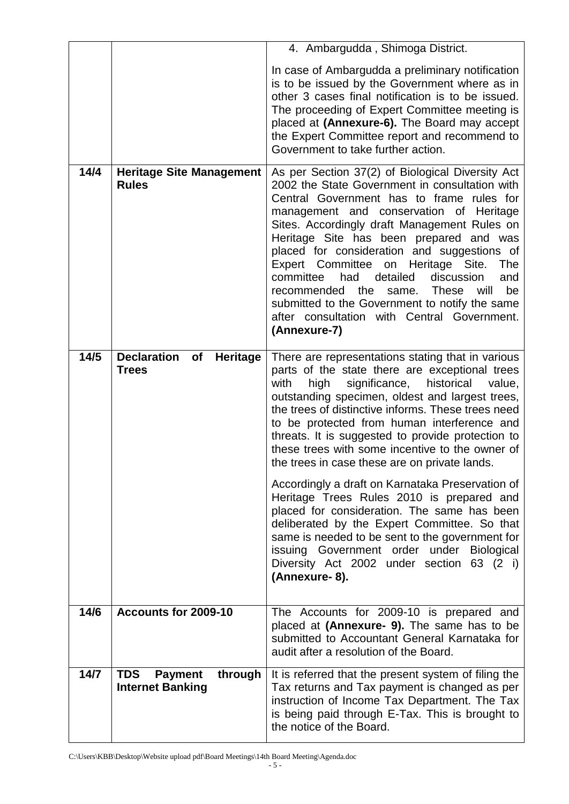|      |                                                                    | 4. Ambargudda, Shimoga District.                                                                                                                                                                                                                                                                                                                                                                                                                                                                                                                                                                              |  |  |  |  |
|------|--------------------------------------------------------------------|---------------------------------------------------------------------------------------------------------------------------------------------------------------------------------------------------------------------------------------------------------------------------------------------------------------------------------------------------------------------------------------------------------------------------------------------------------------------------------------------------------------------------------------------------------------------------------------------------------------|--|--|--|--|
|      |                                                                    | In case of Ambargudda a preliminary notification<br>is to be issued by the Government where as in<br>other 3 cases final notification is to be issued.<br>The proceeding of Expert Committee meeting is<br>placed at (Annexure-6). The Board may accept<br>the Expert Committee report and recommend to<br>Government to take further action.                                                                                                                                                                                                                                                                 |  |  |  |  |
| 14/4 | <b>Heritage Site Management</b><br><b>Rules</b>                    | As per Section 37(2) of Biological Diversity Act<br>2002 the State Government in consultation with<br>Central Government has to frame rules for<br>management and conservation of Heritage<br>Sites. Accordingly draft Management Rules on<br>Heritage Site has been prepared and was<br>placed for consideration and suggestions of<br>Heritage Site.<br>Expert Committee on<br>The<br>committee<br>detailed<br>had<br>discussion<br>and<br>be<br>recommended the<br>These<br>same.<br>will<br>submitted to the Government to notify the same<br>after consultation with Central Government.<br>(Annexure-7) |  |  |  |  |
| 14/5 | <b>Declaration</b><br>of<br><b>Heritage</b><br><b>Trees</b>        | There are representations stating that in various<br>parts of the state there are exceptional trees<br>historical<br>significance,<br>with<br>high<br>value,<br>outstanding specimen, oldest and largest trees,<br>the trees of distinctive informs. These trees need<br>to be protected from human interference and<br>threats. It is suggested to provide protection to<br>these trees with some incentive to the owner of<br>the trees in case these are on private lands.                                                                                                                                 |  |  |  |  |
|      |                                                                    | Accordingly a draft on Karnataka Preservation of<br>Heritage Trees Rules 2010 is prepared and<br>placed for consideration. The same has been<br>deliberated by the Expert Committee. So that<br>same is needed to be sent to the government for<br>issuing Government order under<br><b>Biological</b><br>Diversity Act 2002 under section 63 (2 i)<br>(Annexure-8).                                                                                                                                                                                                                                          |  |  |  |  |
| 14/6 | Accounts for 2009-10                                               | The Accounts for 2009-10 is prepared and<br>placed at (Annexure- 9). The same has to be<br>submitted to Accountant General Karnataka for<br>audit after a resolution of the Board.                                                                                                                                                                                                                                                                                                                                                                                                                            |  |  |  |  |
| 14/7 | <b>TDS</b><br><b>Payment</b><br>through<br><b>Internet Banking</b> | It is referred that the present system of filing the<br>Tax returns and Tax payment is changed as per<br>instruction of Income Tax Department. The Tax<br>is being paid through E-Tax. This is brought to<br>the notice of the Board.                                                                                                                                                                                                                                                                                                                                                                         |  |  |  |  |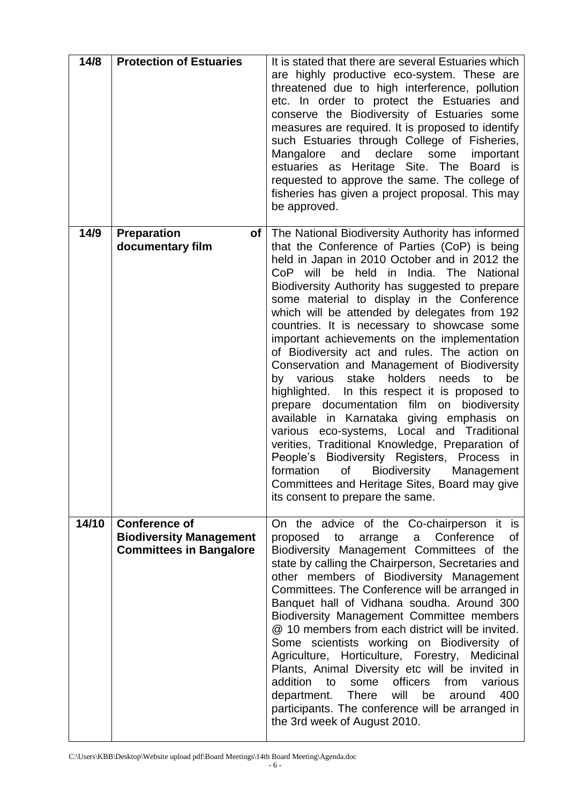| 14/8  | <b>Protection of Estuaries</b>                                                           | It is stated that there are several Estuaries which<br>are highly productive eco-system. These are<br>threatened due to high interference, pollution<br>etc. In order to protect the Estuaries and<br>conserve the Biodiversity of Estuaries some<br>measures are required. It is proposed to identify<br>such Estuaries through College of Fisheries,<br>and declare<br>some<br>Mangalore<br>important<br>estuaries as Heritage Site. The<br>Board is<br>requested to approve the same. The college of<br>fisheries has given a project proposal. This may<br>be approved.                                                                                                                                                                                                                                                                                                                                                                                                                                                                      |
|-------|------------------------------------------------------------------------------------------|--------------------------------------------------------------------------------------------------------------------------------------------------------------------------------------------------------------------------------------------------------------------------------------------------------------------------------------------------------------------------------------------------------------------------------------------------------------------------------------------------------------------------------------------------------------------------------------------------------------------------------------------------------------------------------------------------------------------------------------------------------------------------------------------------------------------------------------------------------------------------------------------------------------------------------------------------------------------------------------------------------------------------------------------------|
| 14/9  | <b>Preparation</b><br>of<br>documentary film                                             | The National Biodiversity Authority has informed<br>that the Conference of Parties (CoP) is being<br>held in Japan in 2010 October and in 2012 the<br>CoP will be held in India. The National<br>Biodiversity Authority has suggested to prepare<br>some material to display in the Conference<br>which will be attended by delegates from 192<br>countries. It is necessary to showcase some<br>important achievements on the implementation<br>of Biodiversity act and rules. The action on<br>Conservation and Management of Biodiversity<br>stake<br>holders needs<br>be<br>by various<br>to<br>highlighted.<br>In this respect it is proposed to<br>prepare documentation film on biodiversity<br>available in Karnataka giving emphasis on<br>eco-systems, Local and Traditional<br>various<br>verities, Traditional Knowledge, Preparation of<br>People's Biodiversity Registers, Process in<br>formation<br>of<br><b>Biodiversity</b><br>Management<br>Committees and Heritage Sites, Board may give<br>its consent to prepare the same. |
| 14/10 | <b>Conference of</b><br><b>Biodiversity Management</b><br><b>Committees in Bangalore</b> | On the advice of the Co-chairperson it is<br>arrange a Conference<br>proposed to<br>0f<br>Biodiversity Management Committees of the<br>state by calling the Chairperson, Secretaries and<br>other members of Biodiversity Management<br>Committees. The Conference will be arranged in<br>Banquet hall of Vidhana soudha. Around 300<br>Biodiversity Management Committee members<br>@ 10 members from each district will be invited.<br>Some scientists working on Biodiversity of<br>Agriculture, Horticulture, Forestry, Medicinal<br>Plants, Animal Diversity etc will be invited in<br>addition to<br>officers<br>from<br>some<br>various<br>400<br>will<br>be<br>department.<br><b>There</b><br>around<br>participants. The conference will be arranged in<br>the 3rd week of August 2010.                                                                                                                                                                                                                                                 |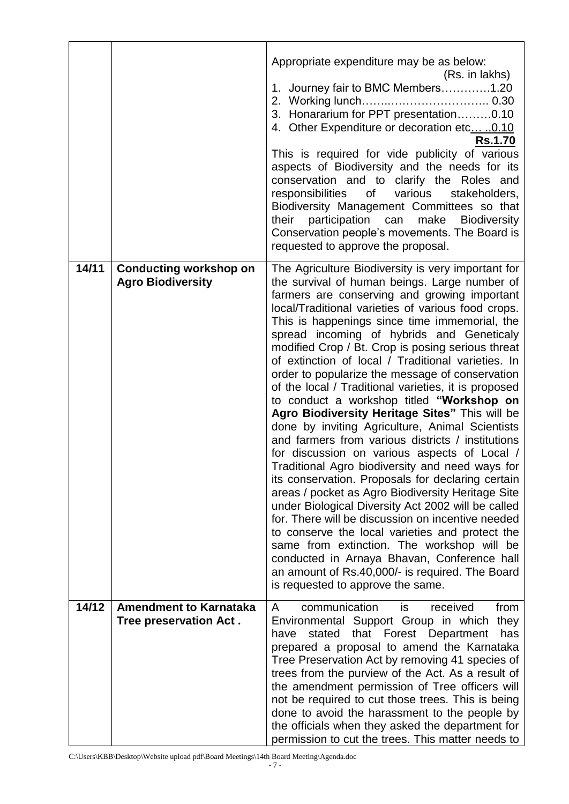|       |                                                           | Appropriate expenditure may be as below:<br>(Rs. in lakhs)<br>1. Journey fair to BMC Members1.20<br>3. Honararium for PPT presentation0.10<br>4. Other Expenditure or decoration etc 0.10<br><b>Rs.1.70</b><br>This is required for vide publicity of various<br>aspects of Biodiversity and the needs for its<br>conservation and to clarify the Roles and<br>responsibilities<br>various<br>stakeholders,<br>of<br>Biodiversity Management Committees so that<br>participation can<br>their<br>make Biodiversity<br>Conservation people's movements. The Board is<br>requested to approve the proposal.                                                                                                                                                                                                                                                                                                                                                                                                                                                                                                                                                                                                                                                                                            |
|-------|-----------------------------------------------------------|------------------------------------------------------------------------------------------------------------------------------------------------------------------------------------------------------------------------------------------------------------------------------------------------------------------------------------------------------------------------------------------------------------------------------------------------------------------------------------------------------------------------------------------------------------------------------------------------------------------------------------------------------------------------------------------------------------------------------------------------------------------------------------------------------------------------------------------------------------------------------------------------------------------------------------------------------------------------------------------------------------------------------------------------------------------------------------------------------------------------------------------------------------------------------------------------------------------------------------------------------------------------------------------------------|
| 14/11 | <b>Conducting workshop on</b><br><b>Agro Biodiversity</b> | The Agriculture Biodiversity is very important for<br>the survival of human beings. Large number of<br>farmers are conserving and growing important<br>local/Traditional varieties of various food crops.<br>This is happenings since time immemorial, the<br>spread incoming of hybrids and Geneticaly<br>modified Crop / Bt. Crop is posing serious threat<br>of extinction of local / Traditional varieties. In<br>order to popularize the message of conservation<br>of the local / Traditional varieties, it is proposed<br>to conduct a workshop titled "Workshop on<br>Agro Biodiversity Heritage Sites" This will be<br>done by inviting Agriculture, Animal Scientists<br>and farmers from various districts / institutions<br>for discussion on various aspects of Local /<br>Traditional Agro biodiversity and need ways for<br>its conservation. Proposals for declaring certain<br>areas / pocket as Agro Biodiversity Heritage Site<br>under Biological Diversity Act 2002 will be called<br>for. There will be discussion on incentive needed<br>to conserve the local varieties and protect the<br>same from extinction. The workshop will be<br>conducted in Arnaya Bhavan, Conference hall<br>an amount of Rs.40,000/- is required. The Board<br>is requested to approve the same. |
| 14/12 | <b>Amendment to Karnataka</b><br>Tree preservation Act.   | communication<br>received<br>from<br>is<br>A<br>Environmental Support Group in which<br>they<br>stated<br>that Forest Department<br>has<br>have<br>prepared a proposal to amend the Karnataka<br>Tree Preservation Act by removing 41 species of<br>trees from the purview of the Act. As a result of<br>the amendment permission of Tree officers will<br>not be required to cut those trees. This is being<br>done to avoid the harassment to the people by<br>the officials when they asked the department for<br>permission to cut the trees. This matter needs to                                                                                                                                                                                                                                                                                                                                                                                                                                                                                                                                                                                                                                                                                                                               |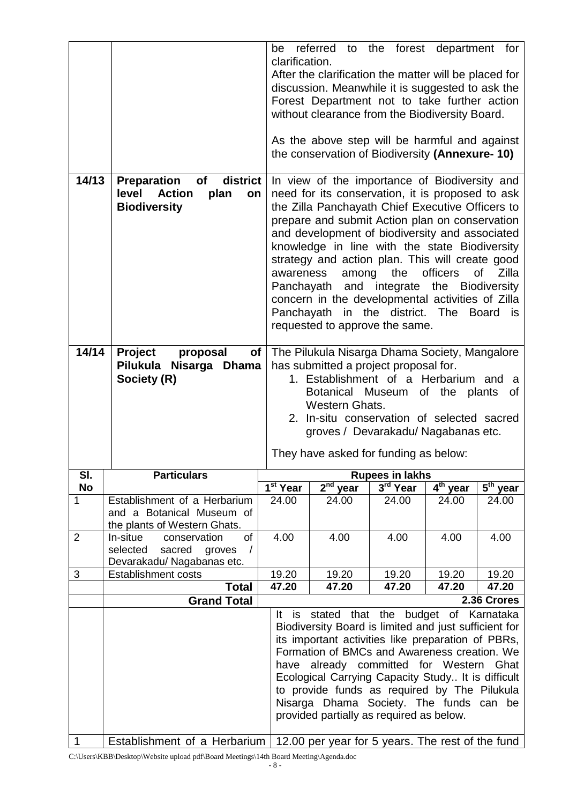| 14/13          | district<br><b>Preparation</b><br><b>of</b><br>level<br><b>Action</b><br>plan<br>on<br><b>Biodiversity</b>                                                                                                                                                                                                                                                                                          | be<br>clarification.<br>awareness | referred to the forest department for<br>After the clarification the matter will be placed for<br>discussion. Meanwhile it is suggested to ask the<br>Forest Department not to take further action<br>without clearance from the Biodiversity Board.<br>As the above step will be harmful and against<br>the conservation of Biodiversity (Annexure-10)<br>In view of the importance of Biodiversity and<br>need for its conservation, it is proposed to ask<br>the Zilla Panchayath Chief Executive Officers to<br>prepare and submit Action plan on conservation<br>and development of biodiversity and associated<br>knowledge in line with the state Biodiversity<br>strategy and action plan. This will create good<br>among<br>Panchayath and integrate the Biodiversity<br>concern in the developmental activities of Zilla<br>Panchayath in the district. The Board<br>requested to approve the same. | the               | officers                                      | Zilla<br>οf<br>is    |
|----------------|-----------------------------------------------------------------------------------------------------------------------------------------------------------------------------------------------------------------------------------------------------------------------------------------------------------------------------------------------------------------------------------------------------|-----------------------------------|---------------------------------------------------------------------------------------------------------------------------------------------------------------------------------------------------------------------------------------------------------------------------------------------------------------------------------------------------------------------------------------------------------------------------------------------------------------------------------------------------------------------------------------------------------------------------------------------------------------------------------------------------------------------------------------------------------------------------------------------------------------------------------------------------------------------------------------------------------------------------------------------------------------|-------------------|-----------------------------------------------|----------------------|
| 14/14          | <b>Project</b><br>proposal<br><b>of</b><br>Pilukula Nisarga Dhama                                                                                                                                                                                                                                                                                                                                   |                                   | has submitted a project proposal for.                                                                                                                                                                                                                                                                                                                                                                                                                                                                                                                                                                                                                                                                                                                                                                                                                                                                         |                   | The Pilukula Nisarga Dhama Society, Mangalore |                      |
|                | Society (R)                                                                                                                                                                                                                                                                                                                                                                                         |                                   | 1. Establishment of a Herbarium and                                                                                                                                                                                                                                                                                                                                                                                                                                                                                                                                                                                                                                                                                                                                                                                                                                                                           |                   |                                               | a                    |
|                | Botanical Museum of the plants                                                                                                                                                                                                                                                                                                                                                                      |                                   |                                                                                                                                                                                                                                                                                                                                                                                                                                                                                                                                                                                                                                                                                                                                                                                                                                                                                                               | 0f                |                                               |                      |
|                | Western Ghats.<br>2. In-situ conservation of selected sacred                                                                                                                                                                                                                                                                                                                                        |                                   |                                                                                                                                                                                                                                                                                                                                                                                                                                                                                                                                                                                                                                                                                                                                                                                                                                                                                                               |                   |                                               |                      |
|                |                                                                                                                                                                                                                                                                                                                                                                                                     |                                   | groves / Devarakadu/ Nagabanas etc.                                                                                                                                                                                                                                                                                                                                                                                                                                                                                                                                                                                                                                                                                                                                                                                                                                                                           |                   |                                               |                      |
|                |                                                                                                                                                                                                                                                                                                                                                                                                     |                                   | They have asked for funding as below:                                                                                                                                                                                                                                                                                                                                                                                                                                                                                                                                                                                                                                                                                                                                                                                                                                                                         |                   |                                               |                      |
| SI.            | <b>Particulars</b>                                                                                                                                                                                                                                                                                                                                                                                  |                                   |                                                                                                                                                                                                                                                                                                                                                                                                                                                                                                                                                                                                                                                                                                                                                                                                                                                                                                               | Rupees in lakhs   |                                               |                      |
| <b>No</b><br>1 | Establishment of a Herbarium                                                                                                                                                                                                                                                                                                                                                                        | $\overline{1^{st}}$ Year<br>24.00 | $2nd$ year<br>24.00                                                                                                                                                                                                                                                                                                                                                                                                                                                                                                                                                                                                                                                                                                                                                                                                                                                                                           | 3rd Year<br>24.00 | $4th$ year<br>24.00                           | $5th$ year<br>24.00  |
|                | and a Botanical Museum of                                                                                                                                                                                                                                                                                                                                                                           |                                   |                                                                                                                                                                                                                                                                                                                                                                                                                                                                                                                                                                                                                                                                                                                                                                                                                                                                                                               |                   |                                               |                      |
|                | the plants of Western Ghats.<br>of                                                                                                                                                                                                                                                                                                                                                                  |                                   |                                                                                                                                                                                                                                                                                                                                                                                                                                                                                                                                                                                                                                                                                                                                                                                                                                                                                                               |                   |                                               |                      |
| $\overline{2}$ | In-situe<br>conservation<br>selected<br>sacred<br>groves<br>$\prime$<br>Devarakadu/ Nagabanas etc.                                                                                                                                                                                                                                                                                                  | 4.00                              | 4.00                                                                                                                                                                                                                                                                                                                                                                                                                                                                                                                                                                                                                                                                                                                                                                                                                                                                                                          | 4.00              | 4.00                                          | 4.00                 |
| 3              | <b>Establishment costs</b>                                                                                                                                                                                                                                                                                                                                                                          | 19.20                             | 19.20                                                                                                                                                                                                                                                                                                                                                                                                                                                                                                                                                                                                                                                                                                                                                                                                                                                                                                         | 19.20             | 19.20                                         | 19.20                |
|                | <b>Total</b><br><b>Grand Total</b>                                                                                                                                                                                                                                                                                                                                                                  | 47.20                             | 47.20                                                                                                                                                                                                                                                                                                                                                                                                                                                                                                                                                                                                                                                                                                                                                                                                                                                                                                         | 47.20             | 47.20                                         | 47.20<br>2.36 Crores |
|                |                                                                                                                                                                                                                                                                                                                                                                                                     | It.                               | is stated that the budget of Karnataka                                                                                                                                                                                                                                                                                                                                                                                                                                                                                                                                                                                                                                                                                                                                                                                                                                                                        |                   |                                               |                      |
|                | Biodiversity Board is limited and just sufficient for<br>its important activities like preparation of PBRs,<br>Formation of BMCs and Awareness creation. We<br>have already committed for Western Ghat<br>Ecological Carrying Capacity Study It is difficult<br>to provide funds as required by The Pilukula<br>Nisarga Dhama Society. The funds can be<br>provided partially as required as below. |                                   |                                                                                                                                                                                                                                                                                                                                                                                                                                                                                                                                                                                                                                                                                                                                                                                                                                                                                                               |                   |                                               |                      |
| 1              | Establishment of a Herbarium                                                                                                                                                                                                                                                                                                                                                                        |                                   | 12.00 per year for 5 years. The rest of the fund                                                                                                                                                                                                                                                                                                                                                                                                                                                                                                                                                                                                                                                                                                                                                                                                                                                              |                   |                                               |                      |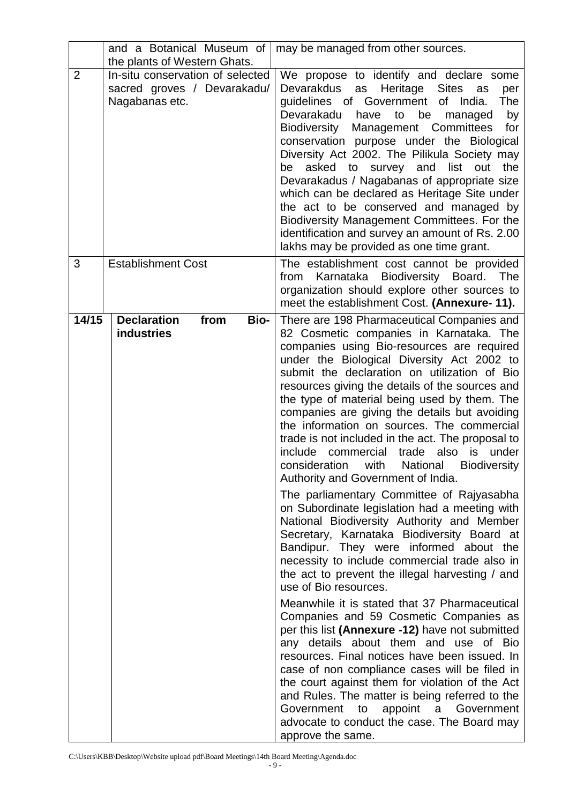|                | and a Botanical Museum of                                                         | may be managed from other sources.                                                                                                                                                                                                                                                                                                                                                                                                                                                                                                                                                                                                                                                                                                                                                                                                                                                                                                                                                                                                                                                                                                                                                                                                                                                                                                                                                                                                                                                                                        |
|----------------|-----------------------------------------------------------------------------------|---------------------------------------------------------------------------------------------------------------------------------------------------------------------------------------------------------------------------------------------------------------------------------------------------------------------------------------------------------------------------------------------------------------------------------------------------------------------------------------------------------------------------------------------------------------------------------------------------------------------------------------------------------------------------------------------------------------------------------------------------------------------------------------------------------------------------------------------------------------------------------------------------------------------------------------------------------------------------------------------------------------------------------------------------------------------------------------------------------------------------------------------------------------------------------------------------------------------------------------------------------------------------------------------------------------------------------------------------------------------------------------------------------------------------------------------------------------------------------------------------------------------------|
|                | the plants of Western Ghats.                                                      |                                                                                                                                                                                                                                                                                                                                                                                                                                                                                                                                                                                                                                                                                                                                                                                                                                                                                                                                                                                                                                                                                                                                                                                                                                                                                                                                                                                                                                                                                                                           |
| $\overline{2}$ | In-situ conservation of selected<br>sacred groves / Devarakadu/<br>Nagabanas etc. | We propose to identify and declare some<br>Devarakdus<br>Heritage<br>as<br><b>Sites</b><br>as<br>per<br>guidelines of Government of India.<br>The<br>Devarakadu<br>be<br>have<br>to<br>by<br>managed<br>Management Committees<br>Biodiversity<br>for<br>conservation purpose under the Biological<br>Diversity Act 2002. The Pilikula Society may<br>the<br>asked to survey<br>and<br>list<br>out<br>be<br>Devarakadus / Nagabanas of appropriate size<br>which can be declared as Heritage Site under<br>the act to be conserved and managed by<br>Biodiversity Management Committees. For the<br>identification and survey an amount of Rs. 2.00<br>lakhs may be provided as one time grant.                                                                                                                                                                                                                                                                                                                                                                                                                                                                                                                                                                                                                                                                                                                                                                                                                            |
| 3              | <b>Establishment Cost</b>                                                         | The establishment cost cannot be provided<br>Karnataka<br>Biodiversity Board.<br>from<br>The<br>organization should explore other sources to<br>meet the establishment Cost. (Annexure- 11).                                                                                                                                                                                                                                                                                                                                                                                                                                                                                                                                                                                                                                                                                                                                                                                                                                                                                                                                                                                                                                                                                                                                                                                                                                                                                                                              |
| 14/15          | <b>Declaration</b><br><b>Bio-</b><br>from<br><b>industries</b>                    | There are 198 Pharmaceutical Companies and<br>82 Cosmetic companies in Karnataka. The<br>companies using Bio-resources are required<br>under the Biological Diversity Act 2002 to<br>submit the declaration on utilization of Bio<br>resources giving the details of the sources and<br>the type of material being used by them. The<br>companies are giving the details but avoiding<br>the information on sources. The commercial<br>trade is not included in the act. The proposal to<br>include<br>commercial<br>trade also is<br>under<br>consideration<br>with<br><b>Biodiversity</b><br>National<br>Authority and Government of India.<br>The parliamentary Committee of Rajyasabha<br>on Subordinate legislation had a meeting with<br>National Biodiversity Authority and Member<br>Secretary, Karnataka Biodiversity Board at<br>Bandipur. They were informed about the<br>necessity to include commercial trade also in<br>the act to prevent the illegal harvesting / and<br>use of Bio resources.<br>Meanwhile it is stated that 37 Pharmaceutical<br>Companies and 59 Cosmetic Companies as<br>per this list (Annexure -12) have not submitted<br>any details about them and use of Bio<br>resources. Final notices have been issued. In<br>case of non compliance cases will be filed in<br>the court against them for violation of the Act<br>and Rules. The matter is being referred to the<br>Government to<br>appoint a Government<br>advocate to conduct the case. The Board may<br>approve the same. |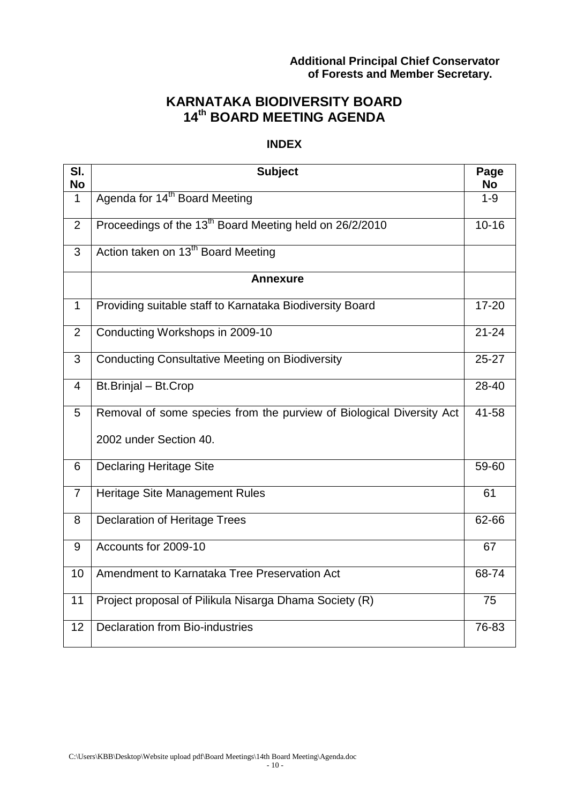# **Additional Principal Chief Conservator of Forests and Member Secretary.**

# **KARNATAKA BIODIVERSITY BOARD 14 th BOARD MEETING AGENDA**

### **INDEX**

| SI.<br><b>No</b> | <b>Subject</b>                                                       | Page<br><b>No</b> |
|------------------|----------------------------------------------------------------------|-------------------|
| $\mathbf{1}$     | Agenda for 14 <sup>th</sup> Board Meeting                            | $1 - 9$           |
| 2                | Proceedings of the 13 <sup>th</sup> Board Meeting held on 26/2/2010  | $10 - 16$         |
|                  |                                                                      |                   |
| 3                | Action taken on 13 <sup>th</sup> Board Meeting                       |                   |
|                  | <b>Annexure</b>                                                      |                   |
| $\mathbf{1}$     | Providing suitable staff to Karnataka Biodiversity Board             | $17 - 20$         |
| 2                | Conducting Workshops in 2009-10                                      | $21 - 24$         |
| 3                | <b>Conducting Consultative Meeting on Biodiversity</b>               | $25 - 27$         |
| $\overline{4}$   | Bt.Brinjal - Bt.Crop                                                 | 28-40             |
| 5                | Removal of some species from the purview of Biological Diversity Act | 41-58             |
|                  | 2002 under Section 40.                                               |                   |
| 6                | <b>Declaring Heritage Site</b>                                       | 59-60             |
| $\overline{7}$   | Heritage Site Management Rules                                       | 61                |
| 8                | <b>Declaration of Heritage Trees</b>                                 | 62-66             |
| 9                | Accounts for 2009-10                                                 | 67                |
| 10               | Amendment to Karnataka Tree Preservation Act                         | 68-74             |
| 11               | Project proposal of Pilikula Nisarga Dhama Society (R)               | 75                |
| 12               | <b>Declaration from Bio-industries</b>                               | 76-83             |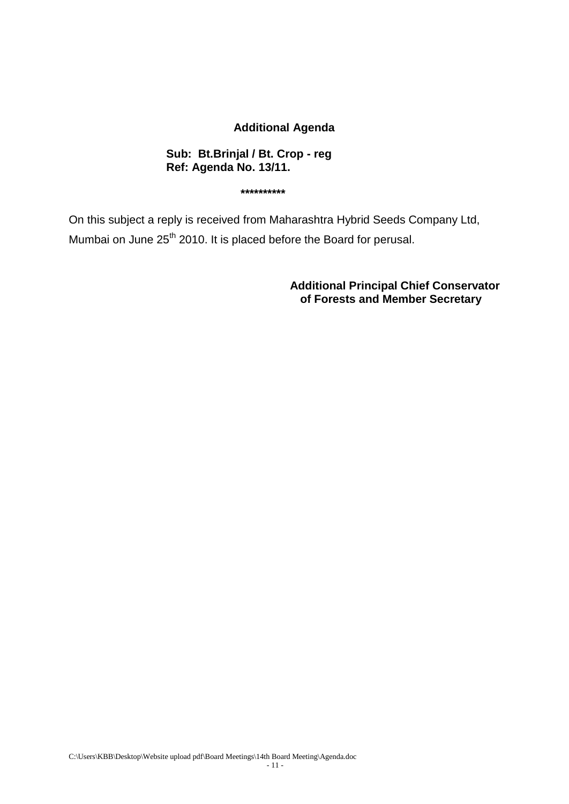### **Additional Agenda**

#### **Sub: Bt.Brinjal / Bt. Crop - reg Ref: Agenda No. 13/11.**

**\*\*\*\*\*\*\*\*\*\***

On this subject a reply is received from Maharashtra Hybrid Seeds Company Ltd, Mumbai on June 25<sup>th</sup> 2010. It is placed before the Board for perusal.

> **Additional Principal Chief Conservator of Forests and Member Secretary**